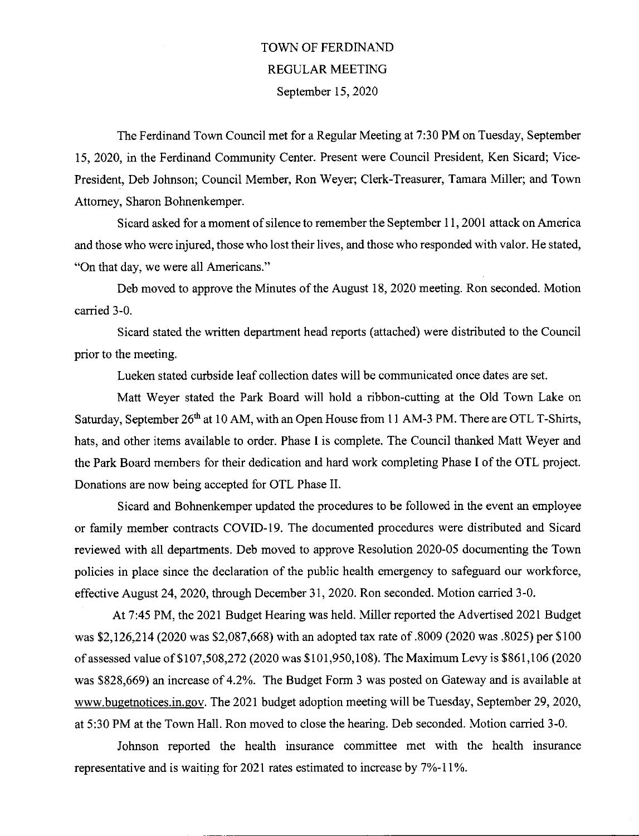## TOWN OF FERDINAND REGULAR MEETING September 15, 2020

The Ferdinand Town Council met for a Regular Meeting at 7:30 PM on Tuesday, September 15, 2020, in the Ferdinand Community Center. Present were Council President, Ken Sicazd; Vice-President, Deb Johnson; Council Member, Ron Weyer, Clerk-Treasurer, Tamara Miller; and Town Attorney, Sharon Bohnenkemper.

Sicazd asked for a moment of silence to remember the September 11, 2001 attack on America and those who were injured, those who lost their lives, and those who responded with valor. He stated, "On that day, we were all Americans."

Deb moved to approve the Minutes of the August 18, 2020 meeting. Ron seconded. Motion carried 3-0.

Sicazd stated the written department head reports (attached) were distributed to the Council prior to the meeting.

Lueken stated curbside leaf collection dates will be communicated once dates are set.

Matt Weyer stated the Park Board will hold aribbon-cutting at the Old Town Lake on Saturday, September 26<sup>th</sup> at 10 AM, with an Open House from 11 AM-3 PM. There are OTL T-Shirts, hats, and other items available to order. Phase I is complete. The Council thanked Matt Weyer and the Park Boazd members for their dedication and hazd work completing Phase I of the OTL project. Donations are now being accepted for OTL Phase II.

Sicard and Bohnenkemper updated the procedures to be followed in the event an employee or family member contracts COVID-19. The documented procedures were distributed and Sicazd reviewed with all departments. Deb moved to approve Resolution 2020-OS documenting the Town policies in place since the declazation of the public health emergency to safeguard our workforce, effective August 24, 2020, through December 31, 2020. Ron seconded. Motion carried 3-0.

At 7:45 PM, the 2021 Budget Hearing was held. Miller reported the Advertised 2021 Budget was \$2,126,214 (2020 was \$2,087,668) with an adopted tax rate of .8009 (2020 was .8025) per \$100 of assessed value of \$107,508,272 (2020 was \$101,950,108). The Maximum Levy is \$861,106 (2020 was \$828,669) an increase of 4.2%. The Budget Form 3 was posted on Gateway and is available at www.bugetnotices.in.gov. The 2021 budget adoption meeting will be Tuesday, September 29, 2020, at 5:30 PM at the Town Hall. Ron moved to close the hearing. Deb seconded. Motion carried 3-0.

Johnson reported the health insurance committee met with the health insurance representative and is waiting for 2021 rates estimated to increase by 7%-11%.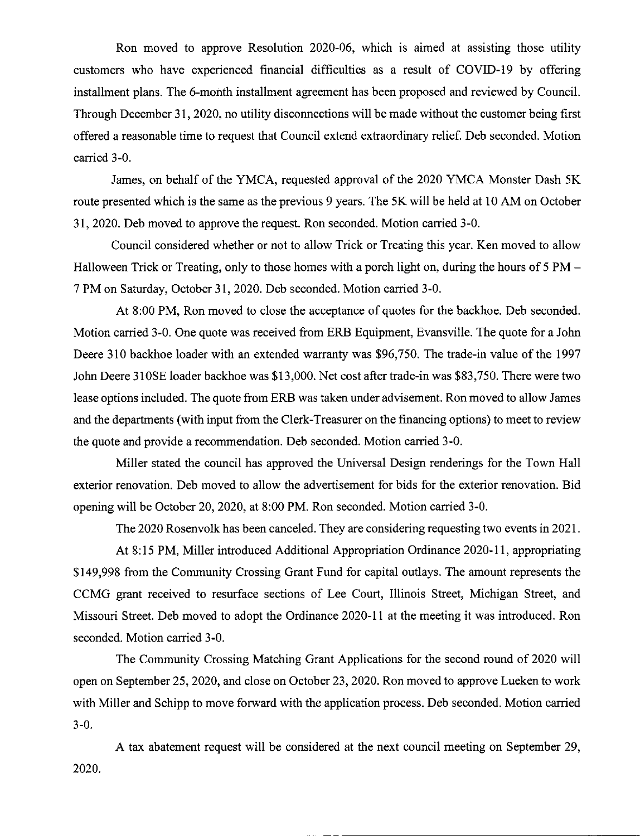Ron moved to approve Resolution 2020-06, which is aimed at assisting those utility customers who have experienced financial difficulties as a result of COVID-19 by offering installment plans. The 6-month installment agreement has been proposed and reviewed by Council. Through December 31, 2020, no utility disconnections will be made without the customer being first offered a reasonable time to request that Council extend extraordinary relief. Deb seconded. Motion carried 3-0.

James, on behalf of the YMCA, requested approval of the 2020 YMCA Monster Dash SK route presented which is the same as the previous 9 years. The SK will be held at 10 AM on October 31, 2020. Deb moved to approve the request. Ron seconded. Motion carried 3-0.

Council considered whether or not to allow Trick or Treating this year. Ken moved to allow Halloween Trick or Treating, only to those homes with a porch light on, during the hours of 5 PM – 7 PM on Saturday, October 31, 2020. Deb seconded. Motion carried 3-0.

At 8:00 PM, Ron moved to close the acceptance of quotes for the backhoe. Deb seconded. Motion carried 3-0. One quote was received from ERB Equipment, Evansville. The quote for a John Deere 310 backhoe loader with an extended warranty was \$96,750. The trade-in value of the 1997 John Deere 310SE loader backhoe was \$13,000. Net cost after trade-in was \$83,750. There were two lease options included. The quote from ERB was taken under advisement. Ron moved to allow James and the departments (with input from the Clerk-Treasurer on the financing options) to meet to review the quote and provide a recommendation. Deb seconded. Motion carried 3-0.

Miller stated the council has approved the Universal Design renderings for the Town Hall exterior renovation. Deb moved to allow the advertisement for bids for the exterior renovation. Bid opening will be October 20, 2020, at 8:00 PM. Ron seconded. Motion carried 3-0.

The 2020 Rosenvolk has been canceled. They are considering requesting two events in 2021.

At 8:15 PM, Miller introduced Additional Appropriation Ordinance 2020-11, appropriating \$149,998 from the Community Crossing Grant Fund for capital outlays. The amount represents the CCMG grant received to resurface sections of Lee Court, Illinois Street, Michigan Street, and Missouri Street. Deb moved to adopt the Ordinance 2020-11 at the meeting it was introduced. Ron seconded. Motion carried 3-0.

The Community Crossing Matching Grant Applications for the second round of 2020 will open on September 25, 2020, and close on October 23, 2020. Ron moved to approve Lueken to work with Miller and Schipp to move forward with the application process. Deb seconded. Motion carried 3-0.

A tax abatement request will be considered at the next council meeting on September 29, 2020.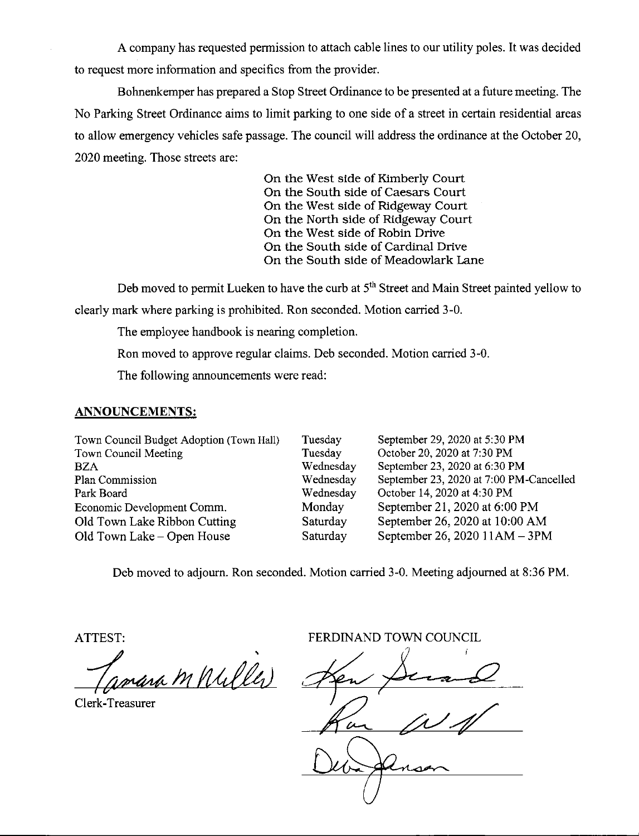A company has requested permission to attach cable lines to our utility poles. It was decided to request more information and specifics from the provider.

Bohnenkemper has prepared a Stop Street Ordinance to be presented at a future meeting. The No Parking Street Ordinance aims to limit pazking to one side of a street in certain residential areas to allow emergency vehicles safe passage. The council will address the ordinance at the October 20, 2020 meeting. Those streets are:

> On the West side of Kimberly Court On the South side of Caesars Court On the West side of Ridgeway Court On the North side of Ridgeway Court On the West side of Robin Drive On the South side of Cardinal Drive On the South side of Meadowlark Lane

Deb moved to permit Lueken to have the curb at 5<sup>th</sup> Street and Main Street painted yellow to cleazly mark where parking is prohibited. Ron seconded. Motion carried 3-0.

The employee handbook is nearing completion.

Ron moved to approve regular claims. Deb seconded. Motion carried 3-0.

The following announcements were read:

#### ANNOUNCEMENTS:

| Town Council Budget Adoption (Town Hall) | Tuesday   | September 29, 2020 at 5:30 PM           |
|------------------------------------------|-----------|-----------------------------------------|
| Town Council Meeting                     | Tuesday   | October 20, 2020 at 7:30 PM             |
| <b>BZA</b>                               | Wednesday | September 23, 2020 at 6:30 PM           |
| Plan Commission                          | Wednesday | September 23, 2020 at 7:00 PM-Cancelled |
| Park Board                               | Wednesday | October 14, 2020 at 4:30 PM             |
| Economic Development Comm.               | Monday    | September 21, 2020 at 6:00 PM           |
| Old Town Lake Ribbon Cutting             | Saturday  | September 26, 2020 at 10:00 AM          |
| Old Town Lake – Open House               | Saturday  | September 26, 2020 11AM - 3PM           |

Deb moved to adjourn. Ron seconded. Motion carried 3-0. Meeting adjourned at 8:36 PM.

ATTEST:

va M Willer

Clerk-Treasurer

FERDINAND TOWN COUNCIL

lÅ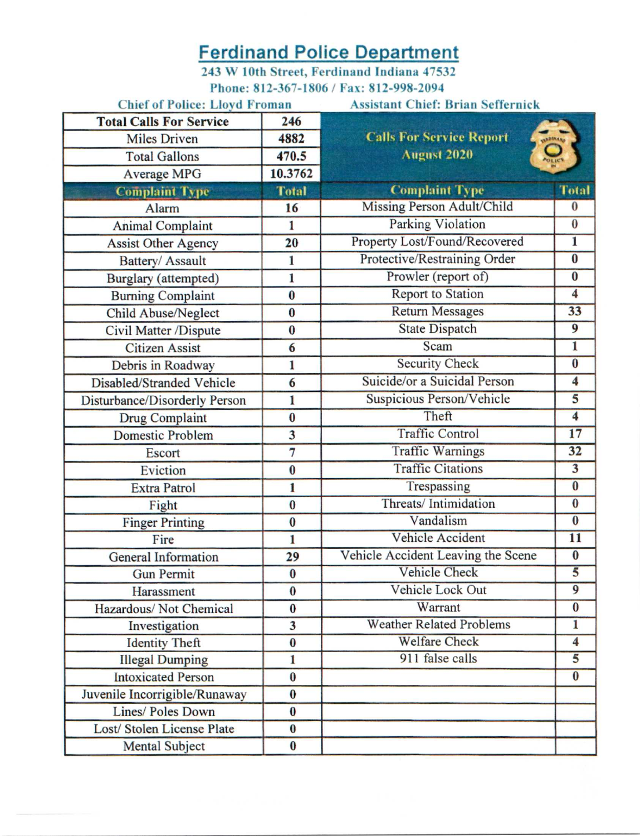# **Ferdinand Police Department**

243 W 10th Street, Ferdinand Indiana 47532 Phone: 812-367-1806 / Fax: 812-998-2094

| <b>Chief of Police: Lloyd Froman</b> |                         | <b>Assistant Chief: Brian Seffernick</b> |                         |  |  |  |  |  |  |
|--------------------------------------|-------------------------|------------------------------------------|-------------------------|--|--|--|--|--|--|
| <b>Total Calls For Service</b>       | 246                     |                                          |                         |  |  |  |  |  |  |
| <b>Miles Driven</b>                  | 4882                    | <b>Calls For Service Report</b>          | <b>ABINAR</b>           |  |  |  |  |  |  |
| <b>Total Gallons</b>                 | 470.5                   | <b>August 2020</b>                       | POLICY                  |  |  |  |  |  |  |
| <b>Average MPG</b>                   | 10.3762                 |                                          |                         |  |  |  |  |  |  |
| <b>Complaint Type</b>                | <b>Total</b>            | <b>Complaint Type</b>                    | <b>Total</b>            |  |  |  |  |  |  |
| Alarm                                | 16                      | Missing Person Adult/Child               | $\bf{0}$                |  |  |  |  |  |  |
| <b>Animal Complaint</b>              | 1                       | <b>Parking Violation</b>                 | $\overline{\mathbf{0}}$ |  |  |  |  |  |  |
| <b>Assist Other Agency</b>           | 20                      | Property Lost/Found/Recovered            | $\overline{\mathbf{1}}$ |  |  |  |  |  |  |
| Battery/ Assault                     | $\mathbf{1}$            | Protective/Restraining Order             | $\bf{0}$                |  |  |  |  |  |  |
| Burglary (attempted)                 | 1                       | Prowler (report of)                      | $\bf{0}$                |  |  |  |  |  |  |
| <b>Burning Complaint</b>             | $\bf{0}$                | <b>Report to Station</b>                 | $\overline{4}$          |  |  |  |  |  |  |
| <b>Child Abuse/Neglect</b>           | $\bf{0}$                | <b>Return Messages</b>                   | 33                      |  |  |  |  |  |  |
| Civil Matter /Dispute                | $\bf{0}$                | <b>State Dispatch</b>                    | $\overline{9}$          |  |  |  |  |  |  |
| <b>Citizen Assist</b>                | 6                       | Scam                                     | $\mathbf{1}$            |  |  |  |  |  |  |
| Debris in Roadway                    | 1                       | <b>Security Check</b>                    | $\bf{0}$                |  |  |  |  |  |  |
| Disabled/Stranded Vehicle            | 6                       | Suicide/or a Suicidal Person             | $\overline{\mathbf{4}}$ |  |  |  |  |  |  |
| Disturbance/Disorderly Person        | 1                       | Suspicious Person/Vehicle                | 5                       |  |  |  |  |  |  |
| <b>Drug Complaint</b>                | $\bf{0}$                | Theft                                    | $\overline{\bf{4}}$     |  |  |  |  |  |  |
| <b>Domestic Problem</b>              | 3                       | <b>Traffic Control</b>                   | 17                      |  |  |  |  |  |  |
| <b>Escort</b>                        | $\overline{7}$          | <b>Traffic Warnings</b>                  | 32                      |  |  |  |  |  |  |
| Eviction                             | $\bf{0}$                | <b>Traffic Citations</b>                 | $\overline{\mathbf{3}}$ |  |  |  |  |  |  |
| <b>Extra Patrol</b>                  | 1                       | Trespassing                              | $\bf{0}$                |  |  |  |  |  |  |
| Fight                                | $\bf{0}$                | Threats/Intimidation                     | $\bf{0}$                |  |  |  |  |  |  |
| <b>Finger Printing</b>               | $\bf{0}$                | Vandalism                                | $\overline{\mathbf{0}}$ |  |  |  |  |  |  |
| Fire                                 | $\mathbf{1}$            | <b>Vehicle Accident</b>                  | 11                      |  |  |  |  |  |  |
| General Information                  | 29                      | Vehicle Accident Leaving the Scene       | $\bf{0}$                |  |  |  |  |  |  |
| <b>Gun Permit</b>                    | $\bf{0}$                | Vehicle Check                            | $\overline{5}$          |  |  |  |  |  |  |
| Harassment                           | $\bf{0}$                | Vehicle Lock Out                         | $\overline{9}$          |  |  |  |  |  |  |
| Hazardous/Not Chemical               | $\bf{0}$                | Warrant                                  | $\overline{\mathbf{0}}$ |  |  |  |  |  |  |
| Investigation                        | $\overline{\mathbf{3}}$ | <b>Weather Related Problems</b>          | 1                       |  |  |  |  |  |  |
| <b>Identity Theft</b>                | $\bf{0}$                | <b>Welfare Check</b>                     | $\overline{\mathbf{4}}$ |  |  |  |  |  |  |
| <b>Illegal Dumping</b>               | $\mathbf{1}$            | 911 false calls                          | $\overline{5}$          |  |  |  |  |  |  |
| <b>Intoxicated Person</b>            | $\bf{0}$                |                                          | $\bf{0}$                |  |  |  |  |  |  |
| Juvenile Incorrigible/Runaway        | $\bf{0}$                |                                          |                         |  |  |  |  |  |  |
| Lines/ Poles Down                    | $\bf{0}$                |                                          |                         |  |  |  |  |  |  |
| Lost/ Stolen License Plate           | $\bf{0}$                |                                          |                         |  |  |  |  |  |  |
| <b>Mental Subject</b>                | $\bf{0}$                |                                          |                         |  |  |  |  |  |  |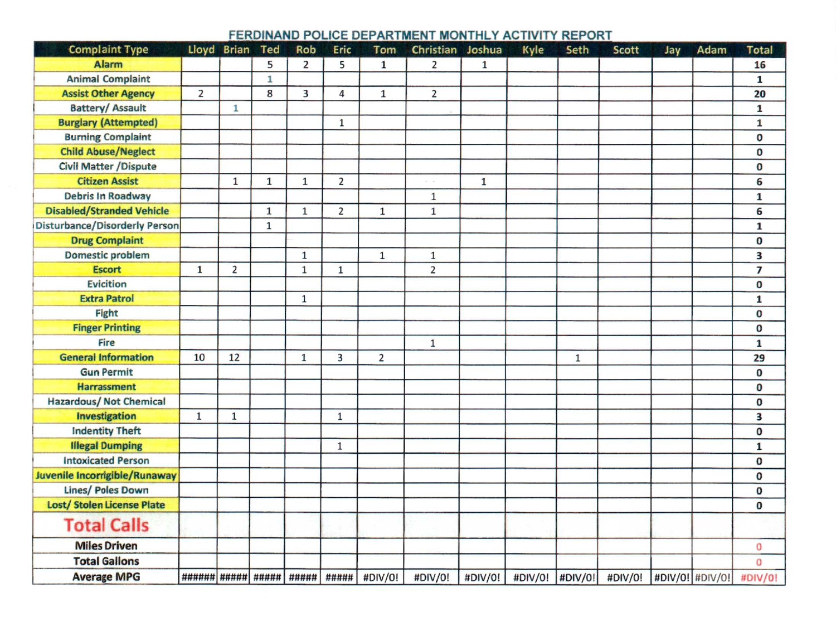### FERDINAND POLICE DEPARTMENT MONTHLY ACTIVITY REPORT

| <b>Complaint Type</b>                |                    | Lloyd Brian    | Ted          | Rob            | Eric                    | Tom            | Christian Joshua |              | Kyle | Seth              | Scott   | Jay             | Adam | <b>Total</b>   |
|--------------------------------------|--------------------|----------------|--------------|----------------|-------------------------|----------------|------------------|--------------|------|-------------------|---------|-----------------|------|----------------|
| <b>Alarm</b>                         |                    |                | 5            | $\overline{2}$ | 5                       | $\mathbf{1}$   | $\overline{2}$   | $\mathbf{1}$ |      |                   |         |                 |      | 16             |
| <b>Animal Complaint</b>              |                    |                | 1            |                |                         |                |                  |              |      |                   |         |                 |      | $\mathbf{1}$   |
| <b>Assist Other Agency</b>           | $\overline{2}$     |                | 8            | 3              | $\overline{4}$          | $\mathbf{1}$   | $\overline{2}$   |              |      |                   |         |                 |      | 20             |
| <b>Battery/ Assault</b>              |                    | $\mathbf{1}$   |              |                |                         |                |                  |              |      |                   |         |                 |      | $\mathbf{1}$   |
| <b>Burglary (Attempted)</b>          |                    |                |              |                | $\mathbf 1$             |                |                  |              |      |                   |         |                 |      | $\mathbf{1}$   |
| <b>Burning Complaint</b>             |                    |                |              |                |                         |                |                  |              |      |                   |         |                 |      | $\mathbf 0$    |
| <b>Child Abuse/Neglect</b>           |                    |                |              |                |                         |                |                  |              |      |                   |         |                 |      | $\bf{0}$       |
| <b>Civil Matter / Dispute</b>        |                    |                |              |                |                         |                |                  |              |      |                   |         |                 |      | $\bf{0}$       |
| <b>Citizen Assist</b>                |                    | $\mathbf{1}$   | $\mathbf{1}$ | $\mathbf{1}$   | $\overline{\mathbf{c}}$ |                |                  | $\mathbf{1}$ |      |                   |         |                 |      | 6              |
| <b>Debris In Roadway</b>             |                    |                |              |                |                         |                | $\mathbf 1$      |              |      |                   |         |                 |      | ${\bf 1}$      |
| <b>Disabled/Stranded Vehicle</b>     |                    |                | $\mathbf{1}$ | $\mathbf{1}$   | $\overline{2}$          | $\mathbf 1$    | $\mathbf 1$      |              |      |                   |         |                 |      | 6              |
| <b>Disturbance/Disorderly Person</b> |                    |                | $\mathbf{1}$ |                |                         |                |                  |              |      |                   |         |                 |      | $\mathbf 1$    |
| <b>Drug Complaint</b>                |                    |                |              |                |                         |                |                  |              |      |                   |         |                 |      | $\bf{0}$       |
| <b>Domestic problem</b>              |                    |                |              | $\mathbf{1}$   |                         | $\mathbf{1}$   | $1\,$            |              |      |                   |         |                 |      | 3              |
| <b>Escort</b>                        | $\mathbf{1}$       | $\overline{2}$ |              | $\mathbf{1}$   | $\mathbf 1$             |                | $\overline{2}$   |              |      |                   |         |                 |      | $\overline{7}$ |
| <b>Evicition</b>                     |                    |                |              |                |                         |                |                  |              |      |                   |         |                 |      | O              |
| <b>Extra Patrol</b>                  |                    |                |              | $\mathbf 1$    |                         |                |                  |              |      |                   |         |                 |      | $\mathbf{1}$   |
| Fight                                |                    |                |              |                |                         |                |                  |              |      |                   |         |                 |      | $\bf{0}$       |
| <b>Finger Printing</b>               |                    |                |              |                |                         |                |                  |              |      |                   |         |                 |      | $\bf{0}$       |
| <b>Fire</b>                          |                    |                |              |                |                         |                | $\mathbf 1$      |              |      |                   |         |                 |      | $\mathbf{1}$   |
| <b>General Information</b>           | 10                 | 12             |              | $\mathbf{1}$   | $\overline{\mathbf{3}}$ | $\overline{2}$ |                  |              |      | $\mathbf 1$       |         |                 |      | 29             |
| <b>Gun Permit</b>                    |                    |                |              |                |                         |                |                  |              |      |                   |         |                 |      | $\bf{0}$       |
| <b>Harrassment</b>                   |                    |                |              |                |                         |                |                  |              |      |                   |         |                 |      | $\bf{0}$       |
| <b>Hazardous/Not Chemical</b>        |                    |                |              |                |                         |                |                  |              |      |                   |         |                 |      | 0              |
| <b>Investigation</b>                 | $\mathbf{1}$       | $\mathbf{1}$   |              |                | $\mathbf 1$             |                |                  |              |      |                   |         |                 |      | 3              |
| <b>Indentity Theft</b>               |                    |                |              |                |                         |                |                  |              |      |                   |         |                 |      | $\mathbf 0$    |
| <b>Illegal Dumping</b>               |                    |                |              |                | $\mathbf 1$             |                |                  |              |      |                   |         |                 |      | $\mathbf{1}$   |
| <b>Intoxicated Person</b>            |                    |                |              |                |                         |                |                  |              |      |                   |         |                 |      | $\bf{0}$       |
| Juvenile Incorrigible/Runaway        |                    |                |              |                |                         |                |                  |              |      |                   |         |                 |      | 0              |
| <b>Lines/ Poles Down</b>             |                    |                |              |                |                         |                |                  |              |      |                   |         |                 |      | $\bf{0}$       |
| <b>Lost/ Stolen License Plate</b>    |                    |                |              |                |                         |                |                  |              |      |                   |         |                 |      | $\bf{0}$       |
| <b>Total Calls</b>                   |                    |                |              |                |                         |                |                  |              |      |                   |         |                 |      |                |
| <b>Miles Driven</b>                  |                    |                |              |                |                         |                |                  |              |      |                   |         |                 |      | 0              |
| <b>Total Gallons</b>                 |                    |                |              |                |                         |                |                  |              |      |                   |         |                 |      | 0              |
| <b>Average MPG</b>                   | ###### ##### ##### |                |              | #####          | #####                   | #DIV/0!        | #DIV/0!          | #DIV/0!      |      | #DIV/0!   #DIV/0! | #DIV/0! | #DIV/0! #DIV/0! |      | #DIV/0!        |